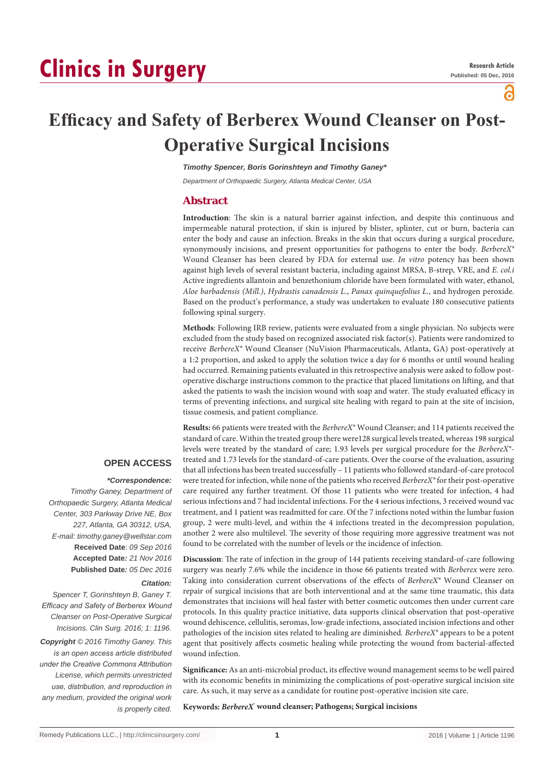# **Clinics in Surgery**

a

## **Efficacy and Safety of Berberex Wound Cleanser on Post-Operative Surgical Incisions**

*Timothy Spencer, Boris Gorinshteyn and Timothy Ganey\**

*Department of Orthopaedic Surgery, Atlanta Medical Center, USA*

#### **Abstract**

**Introduction**: The skin is a natural barrier against infection, and despite this continuous and impermeable natural protection, if skin is injured by blister, splinter, cut or burn, bacteria can enter the body and cause an infection. Breaks in the skin that occurs during a surgical procedure, synonymously incisions, and present opportunities for pathogens to enter the body. *BerbereX®*  Wound Cleanser has been cleared by FDA for external use. *In vitro* potency has been shown against high levels of several resistant bacteria, including against MRSA, B-strep, VRE, and *E. col.i* Active ingredients allantoin and benzethonium chloride have been formulated with water, ethanol, *Aloe barbadensis (Mill.)*, *Hydrastis canadensis L.*, *Panax quinquefolius L.*, and hydrogen peroxide. Based on the product's performance, a study was undertaken to evaluate 180 consecutive patients following spinal surgery.

**Methods**: Following IRB review, patients were evaluated from a single physician. No subjects were excluded from the study based on recognized associated risk factor(s). Patients were randomized to receive *BerbereX®* Wound Cleanser (NuVision Pharmaceuticals, Atlanta, GA) post-operatively at a 1:2 proportion, and asked to apply the solution twice a day for 6 months or until wound healing had occurred. Remaining patients evaluated in this retrospective analysis were asked to follow postoperative discharge instructions common to the practice that placed limitations on lifting, and that asked the patients to wash the incision wound with soap and water. The study evaluated efficacy in terms of preventing infections, and surgical site healing with regard to pain at the site of incision, tissue cosmesis, and patient compliance.

**Results:** 66 patients were treated with the *BerbereX®* Wound Cleanser; and 114 patients received the standard of care. Within the treated group there were128 surgical levels treated, whereas 198 surgical levels were treated by the standard of care; 1.93 levels per surgical procedure for the *BerbereX®* treated and 1.73 levels for the standard-of-care patients. Over the course of the evaluation, assuring that all infections has been treated successfully – 11 patients who followed standard-of-care protocol were treated for infection, while none of the patients who received *BerbereX®* for their post-operative care required any further treatment. Of those 11 patients who were treated for infection, 4 had serious infections and 7 had incidental infections. For the 4 serious infections, 3 received wound vac treatment, and 1 patient was readmitted for care. Of the 7 infections noted within the lumbar fusion group, 2 were multi-level, and within the 4 infections treated in the decompression population, another 2 were also multilevel. The severity of those requiring more aggressive treatment was not found to be correlated with the number of levels or the incidence of infection.

**Discussion**: The rate of infection in the group of 144 patients receiving standard-of-care following surgery was nearly 7.6% while the incidence in those 66 patients treated with *Berberex* were zero. Taking into consideration current observations of the effects of *BerbereX®* Wound Cleanser on repair of surgical incisions that are both interventional and at the same time traumatic, this data demonstrates that incisions will heal faster with better cosmetic outcomes then under current care protocols. In this quality practice initiative, data supports clinical observation that post-operative wound dehiscence, cellulitis, seromas, low-grade infections, associated incision infections and other pathologies of the incision sites related to healing are diminished*. BerbereX®* appears to be a potent agent that positively affects cosmetic healing while protecting the wound from bacterial-affected wound infection.

**Significance:** As an anti-microbial product, its effective wound management seems to be well paired with its economic benefits in minimizing the complications of post-operative surgical incision site care. As such, it may serve as a candidate for routine post-operative incision site care.

**Keywords:** *BerbereX***® wound cleanser; Pathogens; Surgical incisions**

## **OPEN ACCESS**

## *\*Correspondence:*

*Timothy Ganey, Department of Orthopaedic Surgery, Atlanta Medical Center, 303 Parkway Drive NE, Box 227, Atlanta, GA 30312, USA, E-mail: timothy.ganey@wellstar.com* **Received Date**: *09 Sep 2016* **Accepted Date***: 21 Nov 2016* **Published Date***: 05 Dec 2016*

#### *Citation:*

*Spencer T, Gorinshteyn B, Ganey T. Efficacy and Safety of Berberex Wound Cleanser on Post-Operative Surgical Incisions. Clin Surg. 2016; 1: 1196.*

*Copyright © 2016 Timothy Ganey. This is an open access article distributed under the Creative Commons Attribution License, which permits unrestricted use, distribution, and reproduction in any medium, provided the original work is properly cited.*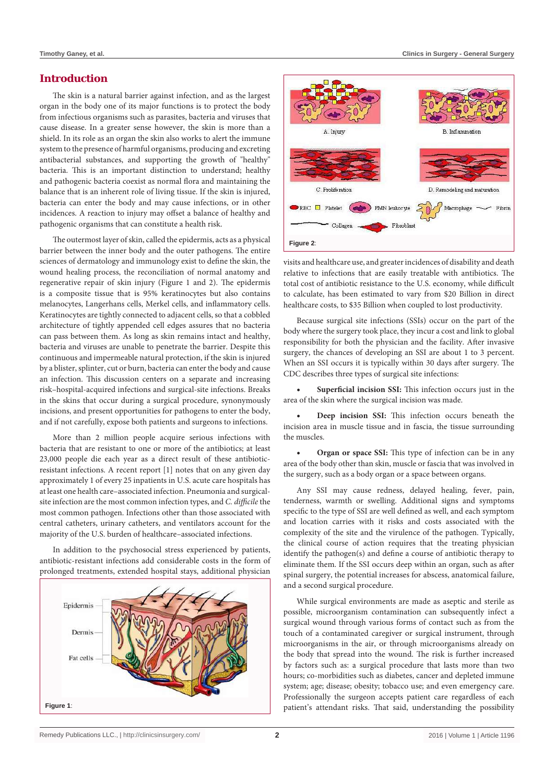#### **Introduction**

The skin is a natural barrier against infection, and as the largest organ in the body one of its major functions is to protect the body from infectious organisms such as parasites, bacteria and viruses that cause disease. In a greater sense however, the skin is more than a shield. In its role as an organ the skin also works to alert the immune system to the presence of harmful organisms, producing and excreting antibacterial substances, and supporting the growth of "healthy" bacteria. This is an important distinction to understand; healthy and pathogenic bacteria coexist as normal flora and maintaining the balance that is an inherent role of living tissue. If the skin is injured, bacteria can enter the body and may cause infections, or in other incidences. A reaction to injury may offset a balance of healthy and pathogenic organisms that can constitute a health risk.

The outermost layer of skin, called the epidermis, acts as a physical barrier between the inner body and the outer pathogens. The entire sciences of dermatology and immunology exist to define the skin, the wound healing process, the reconciliation of normal anatomy and regenerative repair of skin injury (Figure 1 and 2). The epidermis is a composite tissue that is 95% keratinocytes but also contains melanocytes, Langerhans cells, Merkel cells, and inflammatory cells. Keratinocytes are tightly connected to adjacent cells, so that a cobbled architecture of tightly appended cell edges assures that no bacteria can pass between them. As long as skin remains intact and healthy, bacteria and viruses are unable to penetrate the barrier. Despite this continuous and impermeable natural protection, if the skin is injured by a blister, splinter, cut or burn, bacteria can enter the body and cause an infection. This discussion centers on a separate and increasing risk–hospital-acquired infections and surgical-site infections. Breaks in the skins that occur during a surgical procedure, synonymously incisions, and present opportunities for pathogens to enter the body, and if not carefully, expose both patients and surgeons to infections.

More than 2 million people acquire serious infections with bacteria that are resistant to one or more of the antibiotics; at least 23,000 people die each year as a direct result of these antibioticresistant infections. A recent report [1] notes that on any given day approximately 1 of every 25 inpatients in U.S. acute care hospitals has at least one health care–associated infection. Pneumonia and surgicalsite infection are the most common infection types, and *C. difficile* the most common pathogen. Infections other than those associated with central catheters, urinary catheters, and ventilators account for the majority of the U.S. burden of healthcare–associated infections.

In addition to the psychosocial stress experienced by patients, antibiotic-resistant infections add considerable costs in the form of prolonged treatments, extended hospital stays, additional physician





visits and healthcare use, and greater incidences of disability and death relative to infections that are easily treatable with antibiotics. The total cost of antibiotic resistance to the U.S. economy, while difficult to calculate, has been estimated to vary from \$20 Billion in direct healthcare costs, to \$35 Billion when coupled to lost productivity.

Because surgical site infections (SSIs) occur on the part of the body where the surgery took place, they incur a cost and link to global responsibility for both the physician and the facility. After invasive surgery, the chances of developing an SSI are about 1 to 3 percent. When an SSI occurs it is typically within 30 days after surgery. The CDC describes three types of surgical site infections:

**Superficial incision SSI:** This infection occurs just in the area of the skin where the surgical incision was made.

**Deep incision SSI:** This infection occurs beneath the incision area in muscle tissue and in fascia, the tissue surrounding the muscles.

**Organ or space SSI:** This type of infection can be in any area of the body other than skin, muscle or fascia that was involved in the surgery, such as a body organ or a space between organs.

Any SSI may cause redness, delayed healing, fever, pain, tenderness, warmth or swelling. Additional signs and symptoms specific to the type of SSI are well defined as well, and each symptom and location carries with it risks and costs associated with the complexity of the site and the virulence of the pathogen. Typically, the clinical course of action requires that the treating physician identify the pathogen(s) and define a course of antibiotic therapy to eliminate them. If the SSI occurs deep within an organ, such as after spinal surgery, the potential increases for abscess, anatomical failure, and a second surgical procedure.

While surgical environments are made as aseptic and sterile as possible, microorganism contamination can subsequently infect a surgical wound through various forms of contact such as from the touch of a contaminated caregiver or surgical instrument, through microorganisms in the air, or through microorganisms already on the body that spread into the wound. The risk is further increased by factors such as: a surgical procedure that lasts more than two hours; co-morbidities such as diabetes, cancer and depleted immune system; age; disease; obesity; tobacco use; and even emergency care. Professionally the surgeon accepts patient care regardless of each patient's attendant risks. That said, understanding the possibility **Figure 1**: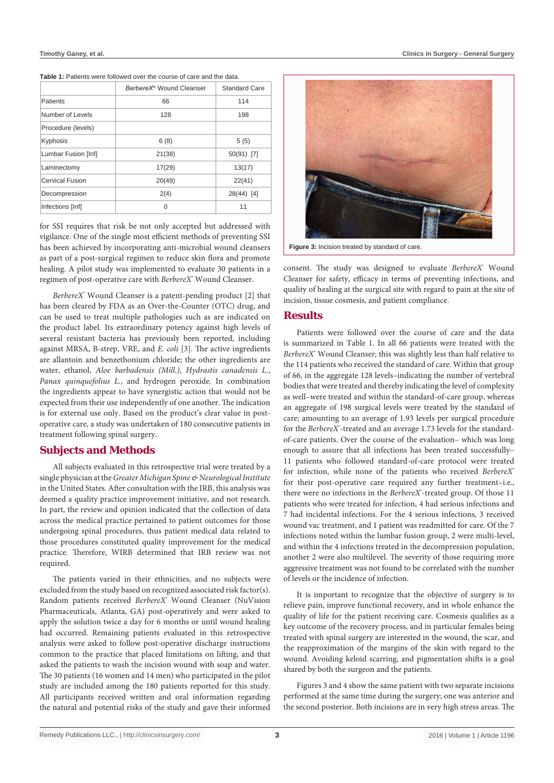#### Table 1: Patients were followed over the course of care and the data.

|                     | BerbereX® Wound Cleanser | <b>Standard Care</b> |
|---------------------|--------------------------|----------------------|
| Patients            | 66                       | 114                  |
| Number of Levels    | 128                      | 198                  |
| Procedure (levels)  |                          |                      |
| Kyphosis            | 6(8)                     | 5(5)                 |
| Lumbar Fusion [Inf] | 21(38)                   | 50(91) [7]           |
| Laminectomy         | 17(29)                   | 13(17)               |
| Cervical Fusion     | 20(49)                   | 22(41)               |
| Decompression       | 2(4)                     | 28(44) [4]           |
| Infections [Inf]    | ∩                        | 11                   |

for SSI requires that risk be not only accepted but addressed with vigilance. One of the single most efficient methods of preventing SSI has been achieved by incorporating anti-microbial wound cleansers as part of a post-surgical regimen to reduce skin flora and promote healing. A pilot study was implemented to evaluate 30 patients in a regimen of post-operative care with *BerbereX®* Wound Cleanser.

*BerbereX®* Wound Cleanser is a patent-pending product [2] that has been cleared by FDA as an Over-the-Counter (OTC) drug, and can be used to treat multiple pathologies such as are indicated on the product label. Its extraordinary potency against high levels of several resistant bacteria has previously been reported, including against MRSA, B-strep, VRE, and *E. coli* [3]. The active ingredients are allantoin and benzethonium chloride; the other ingredients are water, ethanol, *Aloe barbadensis (Mill.)*, *Hydrastis canadensis L.*, *Panax quinquefolius L.*, and hydrogen peroxide. In combination the ingredients appear to have synergistic action that would not be expected from their use independently of one another. The indication is for external use only. Based on the product's clear value in postoperative care, a study was undertaken of 180 consecutive patients in treatment following spinal surgery.

#### **Subjects and Methods**

All subjects evaluated in this retrospective trial were treated by a single physician at the *Greater Michigan Spine & Neurological Institute* in the United States. After consultation with the IRB, this analysis was deemed a quality practice improvement initiative, and not research. In part, the review and opinion indicated that the collection of data across the medical practice pertained to patient outcomes for those undergoing spinal procedures, thus patient medical data related to those procedures constituted quality improvement for the medical practice. Therefore, WIRB determined that IRB review was not required.

The patients varied in their ethnicities, and no subjects were excluded from the study based on recognized associated risk factor(s). Random patients received *BerbereX®* Wound Cleanser (NuVision Pharmaceuticals, Atlanta, GA) post-operatively and were asked to apply the solution twice a day for 6 months or until wound healing had occurred. Remaining patients evaluated in this retrospective analysis were asked to follow post-operative discharge instructions common to the practice that placed limitations on lifting, and that asked the patients to wash the incision wound with soap and water. The 30 patients (16 women and 14 men) who participated in the pilot study are included among the 180 patients reported for this study. All participants received written and oral information regarding the natural and potential risks of the study and gave their informed





**Figure 3:** Incision treated by standard of care.

consent. The study was designed to evaluate *BerbereX*<sup>®</sup> Wound Cleanser for safety, efficacy in terms of preventing infections, and quality of healing at the surgical site with regard to pain at the site of incision, tissue cosmesis, and patient compliance.

#### **Results**

Patients were followed over the course of care and the data is summarized in Table 1. In all 66 patients were treated with the *BerbereX®* Wound Cleanser; this was slightly less than half relative to the 114 patients who received the standard of care. Within that group of 66, in the aggregate 128 levels–indicating the number of vertebral bodies that were treated and thereby indicating the level of complexity as well–were treated and within the standard-of-care group, whereas an aggregate of 198 surgical levels were treated by the standard of care; amounting to an average of 1.93 levels per surgical procedure for the BerbereX<sup>®</sup>-treated and an average 1.73 levels for the standardof-care patients. Over the course of the evaluation– which was long enough to assure that all infections has been treated successfully– 11 patients who followed standard-of-care protocol were treated for infection, while none of the patients who received *BerbereX®* for their post-operative care required any further treatment–i.e., there were no infections in the *BerbereX*<sup>\*</sup>-treated group. Of those 11 patients who were treated for infection, 4 had serious infections and 7 had incidental infections. For the 4 serious infections, 3 received wound vac treatment, and 1 patient was readmitted for care. Of the 7 infections noted within the lumbar fusion group, 2 were multi-level, and within the 4 infections treated in the decompression population, another 2 were also multilevel. The severity of those requiring more aggressive treatment was not found to be correlated with the number of levels or the incidence of infection.

It is important to recognize that the objective of surgery is to relieve pain, improve functional recovery, and in whole enhance the quality of life for the patient receiving care. Cosmesis qualifies as a key outcome of the recovery process, and in particular females being treated with spinal surgery are interested in the wound, the scar, and the reapproximation of the margins of the skin with regard to the wound. Avoiding keloid scarring, and pigmentation shifts is a goal shared by both the surgeon and the patients.

Figures 3 and 4 show the same patient with two separate incisions performed at the same time during the surgery; one was anterior and the second posterior. Both incisions are in very high stress areas. The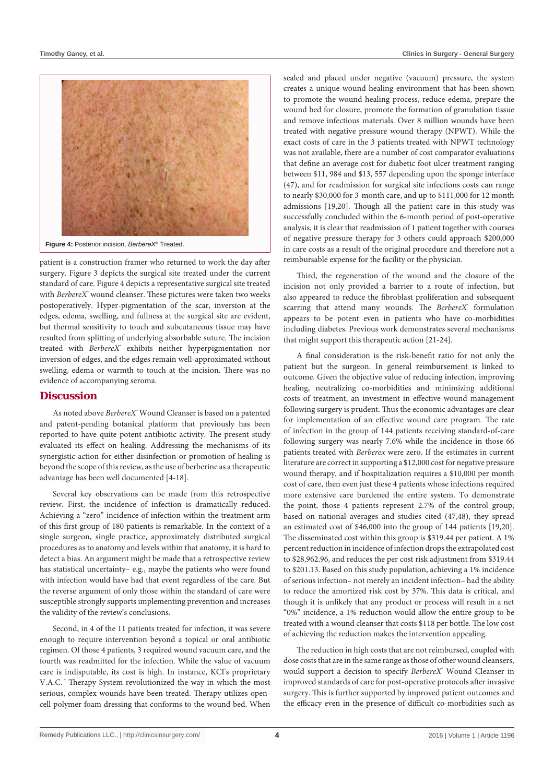

patient is a construction framer who returned to work the day after surgery. Figure 3 depicts the surgical site treated under the current standard of care. Figure 4 depicts a representative surgical site treated with *BerbereX*<sup>\*</sup> wound cleanser. These pictures were taken two weeks postoperatively. Hyper-pigmentation of the scar, inversion at the edges, edema, swelling, and fullness at the surgical site are evident, but thermal sensitivity to touch and subcutaneous tissue may have resulted from splitting of underlying absorbable suture. The incision treated with *BerbereX*<sup>\*</sup> exhibits neither hyperpigmentation nor inversion of edges, and the edges remain well-approximated without swelling, edema or warmth to touch at the incision. There was no evidence of accompanying seroma.

#### **Discussion**

As noted above *BerbereX®* Wound Cleanser is based on a patented and patent-pending botanical platform that previously has been reported to have quite potent antibiotic activity. The present study evaluated its effect on healing. Addressing the mechanisms of its synergistic action for either disinfection or promotion of healing is beyond the scope of this review, as the use of berberine as a therapeutic advantage has been well documented [4-18].

Several key observations can be made from this retrospective review. First, the incidence of infection is dramatically reduced. Achieving a "zero" incidence of infection within the treatment arm of this first group of 180 patients is remarkable. In the context of a single surgeon, single practice, approximately distributed surgical procedures as to anatomy and levels within that anatomy, it is hard to detect a bias. An argument might be made that a retrospective review has statistical uncertainty– e.g., maybe the patients who were found with infection would have had that event regardless of the care. But the reverse argument of only those within the standard of care were susceptible strongly supports implementing prevention and increases the validity of the review's conclusions.

Second, in 4 of the 11 patients treated for infection, it was severe enough to require intervention beyond a topical or oral antibiotic regimen. Of those 4 patients, 3 required wound vacuum care, and the fourth was readmitted for the infection. While the value of vacuum care is indisputable, its cost is high. In instance, KCI's proprietary V.A.C. <sup>\*</sup> Therapy System revolutionized the way in which the most serious, complex wounds have been treated. Therapy utilizes opencell polymer foam dressing that conforms to the wound bed. When

sealed and placed under negative (vacuum) pressure, the system creates a unique wound healing environment that has been shown to promote the wound healing process, reduce edema, prepare the wound bed for closure, promote the formation of granulation tissue and remove infectious materials. Over 8 million wounds have been treated with negative pressure wound therapy (NPWT). While the exact costs of care in the 3 patients treated with NPWT technology was not available, there are a number of cost comparator evaluations that define an average cost for diabetic foot ulcer treatment ranging between \$11, 984 and \$13, 557 depending upon the sponge interface (47), and for readmission for surgical site infections costs can range to nearly \$30,000 for 3-month care, and up to \$111,000 for 12 month admissions [19,20]. Though all the patient care in this study was successfully concluded within the 6-month period of post-operative analysis, it is clear that readmission of 1 patient together with courses of negative pressure therapy for 3 others could approach \$200,000 in care costs as a result of the original procedure and therefore not a reimbursable expense for the facility or the physician.

Third, the regeneration of the wound and the closure of the incision not only provided a barrier to a route of infection, but also appeared to reduce the fibroblast proliferation and subsequent scarring that attend many wounds. The BerbereX<sup>®</sup> formulation appears to be potent even in patients who have co-morbidities including diabetes. Previous work demonstrates several mechanisms that might support this therapeutic action [21-24].

A final consideration is the risk-benefit ratio for not only the patient but the surgeon. In general reimbursement is linked to outcome. Given the objective value of reducing infection, improving healing, neutralizing co-morbidities and minimizing additional costs of treatment, an investment in effective wound management following surgery is prudent. Thus the economic advantages are clear for implementation of an effective wound care program. The rate of infection in the group of 144 patients receiving standard-of-care following surgery was nearly 7.6% while the incidence in those 66 patients treated with *Berberex* were zero. If the estimates in current literature are correct in supporting a \$12,000 cost for negative pressure wound therapy, and if hospitalization requires a \$10,000 per month cost of care, then even just these 4 patients whose infections required more extensive care burdened the entire system. To demonstrate the point, those 4 patients represent 2.7% of the control group; based on national averages and studies cited (47,48), they spread an estimated cost of \$46,000 into the group of 144 patients [19,20]. The disseminated cost within this group is \$319.44 per patient. A 1% percent reduction in incidence of infection drops the extrapolated cost to \$28,962.96, and reduces the per cost risk adjustment from \$319.44 to \$201.13. Based on this study population, achieving a 1% incidence of serious infection– not merely an incident infection– had the ability to reduce the amortized risk cost by 37%. This data is critical, and though it is unlikely that any product or process will result in a net "0%" incidence, a 1% reduction would allow the entire group to be treated with a wound cleanser that costs \$118 per bottle. The low cost of achieving the reduction makes the intervention appealing.

The reduction in high costs that are not reimbursed, coupled with dose costs that are in the same range as those of other wound cleansers, would support a decision to specify *BerbereX®* Wound Cleanser in improved standards of care for post-operative protocols after invasive surgery. This is further supported by improved patient outcomes and the efficacy even in the presence of difficult co-morbidities such as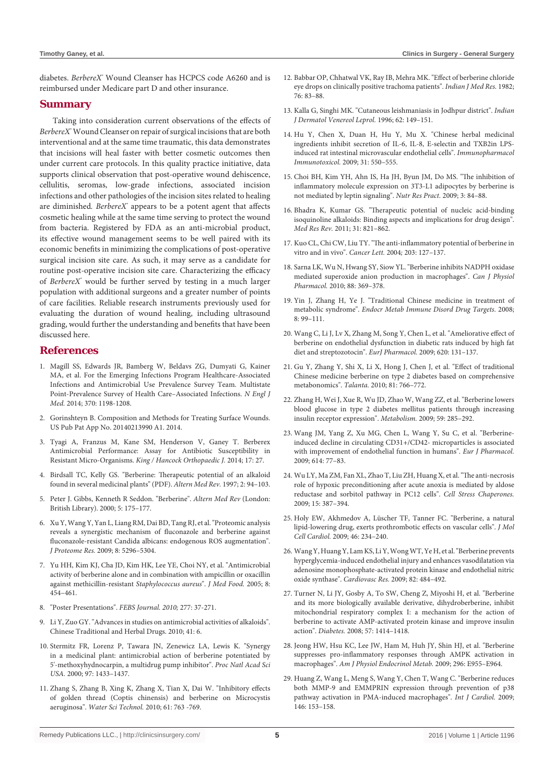diabetes. *BerbereX®* Wound Cleanser has HCPCS code A6260 and is reimbursed under Medicare part D and other insurance.

#### **Summary**

Taking into consideration current observations of the effects of *BerbereX®* Wound Cleanser on repair of surgical incisions that are both interventional and at the same time traumatic, this data demonstrates that incisions will heal faster with better cosmetic outcomes then under current care protocols. In this quality practice initiative, data supports clinical observation that post-operative wound dehiscence, cellulitis, seromas, low-grade infections, associated incision infections and other pathologies of the incision sites related to healing are diminished. BerbereX° appears to be a potent agent that affects cosmetic healing while at the same time serving to protect the wound from bacteria. Registered by FDA as an anti-microbial product, its effective wound management seems to be well paired with its economic benefits in minimizing the complications of post-operative surgical incision site care. As such, it may serve as a candidate for routine post-operative incision site care. Characterizing the efficacy of *BerbereX*<sup>\*</sup> would be further served by testing in a much larger population with additional surgeons and a greater number of points of care facilities. Reliable research instruments previously used for evaluating the duration of wound healing, including ultrasound grading, would further the understanding and benefits that have been discussed here.

#### **References**

- 1. [Magill SS, Edwards JR, Bamberg W, Beldavs ZG, Dumyati G, Kainer](http://www.ncbi.nlm.nih.gov/pubmed/24670166)  [MA, et al. For the Emerging Infections Program Healthcare-Associated](http://www.ncbi.nlm.nih.gov/pubmed/24670166)  [Infections and Antimicrobial Use Prevalence Survey Team. Multistate](http://www.ncbi.nlm.nih.gov/pubmed/24670166)  [Point-Prevalence Survey of Health Care–Associated Infections.](http://www.ncbi.nlm.nih.gov/pubmed/24670166) *N Engl J Med.* [2014; 370: 1198-1208.](http://www.ncbi.nlm.nih.gov/pubmed/24670166)
- 2. [Gorinshteyn B. Composition and Methods for Treating Surface Wounds.](http://patents.com/us-20140213990.html)  [US Pub Pat App No. 20140213990 A1. 2014.](http://patents.com/us-20140213990.html)
- 3. [Tyagi A, Franzus M, Kane SM, Henderson V, Ganey T. Berberex](http://professional.berberex.com/documents/King Hancock Orthopaedic Journal Vol. 17, 2014.pdf)  [Antimicrobial Performance: Assay for Antibiotic Susceptibility in](http://professional.berberex.com/documents/King Hancock Orthopaedic Journal Vol. 17, 2014.pdf)  Resistant Micro-Organisms. *[King / Hancock Orthopaedic J.](http://professional.berberex.com/documents/King Hancock Orthopaedic Journal Vol. 17, 2014.pdf)* 2014; 17: 27.
- 4. [Birdsall TC, Kelly GS. "Berberine: Therapeutic potential of an alkaloid](http://www.anaturalhealingcenter.com/documents/Thorne/articles/Berberine.pdf)  [found in several medicinal plants" \(PDF\).](http://www.anaturalhealingcenter.com/documents/Thorne/articles/Berberine.pdf) *Altern Med Rev.* 1997; 2: 94–103.
- 5. [Peter J. Gibbs, Kenneth R Seddon. "Berberine".](http://www.ncbi.nlm.nih.gov/pubmed/10767672) *Altern Med Rev* (London: [British Library\). 2000; 5: 175–177.](http://www.ncbi.nlm.nih.gov/pubmed/10767672)
- 6. [Xu Y, Wang Y, Yan L, Liang RM, Dai BD, Tang RJ, et al. "Proteomic analysis](http://www.ncbi.nlm.nih.gov/pubmed/19754040)  [reveals a synergistic mechanism of fluconazole and berberine against](http://www.ncbi.nlm.nih.gov/pubmed/19754040)  [fluconazole-resistant Candida albicans: endogenous ROS augmentation".](http://www.ncbi.nlm.nih.gov/pubmed/19754040)  *[J Proteome Res.](http://www.ncbi.nlm.nih.gov/pubmed/19754040)* 2009; 8: 5296–5304.
- 7. [Yu HH, Kim KJ, Cha JD, Kim HK, Lee YE, Choi NY, et al. "Antimicrobial](http://www.ncbi.nlm.nih.gov/pubmed/16379555)  [activity of berberine alone and in combination with ampicillin or oxacillin](http://www.ncbi.nlm.nih.gov/pubmed/16379555)  [against methicillin-resistant](http://www.ncbi.nlm.nih.gov/pubmed/16379555) *Staphylococcus aureus*". *J Med Food.* 2005; 8: [454–461.](http://www.ncbi.nlm.nih.gov/pubmed/16379555)
- 8. ["Poster Presentations".](http://onlinelibrary.wiley.com/doi/10.1111/j.1742-4658.2010.07680.x/abstract) *FEBS Journal. 2010;* 277: 37-271.
- 9. [Li Y, Zuo GY. "Advances in studies on antimicrobial activities of alkaloids".](http://en.cnki.com.cn/Article_en/CJFDTOTAL-ZCYO201006055.htm)  [Chinese Traditional and Herbal Drugs. 2010; 41: 6.](http://en.cnki.com.cn/Article_en/CJFDTOTAL-ZCYO201006055.htm)
- 10. [Stermitz FR, Lorenz P, Tawara JN, Zenewicz LA, Lewis K. "Synergy](http://www.ncbi.nlm.nih.gov/pubmed/10677479)  [in a medicinal plant: antimicrobial action of berberine potentiated by](http://www.ncbi.nlm.nih.gov/pubmed/10677479)  [5'-methoxyhydnocarpin, a multidrug pump inhibitor".](http://www.ncbi.nlm.nih.gov/pubmed/10677479) *Proc Natl Acad Sci USA.* 2000; [97: 1433–1437.](http://www.ncbi.nlm.nih.gov/pubmed/10677479)
- 11. [Zhang S, Zhang B, Xing K, Zhang X, Tian X, Dai W. "Inhibitory effects](http://www.ncbi.nlm.nih.gov/pubmed/20150713)  [of golden thread \(Coptis chinensis\) and berberine on Microcystis](http://www.ncbi.nlm.nih.gov/pubmed/20150713)  aeruginosa". *[Water Sci Technol.](http://www.ncbi.nlm.nih.gov/pubmed/20150713)* 2010; 61: 763 -769.
- 12. [Babbar OP, Chhatwal VK, Ray IB, Mehra MK. "Effect of berberine chloride](http://www.ncbi.nlm.nih.gov/pubmed/7185757)  [eye drops on clinically positive trachoma patients".](http://www.ncbi.nlm.nih.gov/pubmed/7185757) *Indian J Med Res.* 1982; [76: 83–88.](http://www.ncbi.nlm.nih.gov/pubmed/7185757)
- 13. [Kalla G, Singhi MK. "Cutaneous leishmaniasis in Jodhpur district".](http://www.ncbi.nlm.nih.gov/pubmed/20948018) *Indian [J Dermatol Venereol Leprol.](http://www.ncbi.nlm.nih.gov/pubmed/20948018)* 1996; 62: 149–151.
- 14. [Hu Y, Chen X, Duan H, Hu Y, Mu X. "Chinese herbal medicinal](http://www.ncbi.nlm.nih.gov/pubmed/19874221)  [ingredients inhibit secretion of IL-6, IL-8, E-selectin and TXB2in LPS](http://www.ncbi.nlm.nih.gov/pubmed/19874221)[induced rat intestinal microvascular endothelial cells".](http://www.ncbi.nlm.nih.gov/pubmed/19874221) *Immunopharmacol [Immunotoxicol.](http://www.ncbi.nlm.nih.gov/pubmed/19874221)* 2009; 31: 550–555.
- 15. [Choi BH, Kim YH, Ahn IS, Ha JH, Byun JM, Do MS. "The inhibition of](http://www.ncbi.nlm.nih.gov/pubmed/20016706)  [inflammatory molecule expression on 3T3-L1 adipocytes by berberine is](http://www.ncbi.nlm.nih.gov/pubmed/20016706)  [not mediated by leptin signaling".](http://www.ncbi.nlm.nih.gov/pubmed/20016706) *Nutr Res Pract.* 2009; 3: 84–88.
- 16. [Bhadra K, Kumar GS. "Therapeutic potential of nucleic acid-binding](http://www.ncbi.nlm.nih.gov/pubmed/20077560)  [isoquinoline alkaloids: Binding aspects and implications for drug design".](http://www.ncbi.nlm.nih.gov/pubmed/20077560)  *[Med Res Rev.](http://www.ncbi.nlm.nih.gov/pubmed/20077560)* 2011; 31: 821–862.
- 17. [Kuo CL, Chi CW, Liu TY. "The anti-inflammatory potential of berberine in](http://www.ncbi.nlm.nih.gov/pubmed/14732220)  [vitro and in vivo".](http://www.ncbi.nlm.nih.gov/pubmed/14732220) *Cancer Lett.* 2004*;* 203: 127–137.
- 18. [Sarna LK, Wu N, Hwang SY, Siow YL. "Berberine inhibits NADPH oxidase](http://www.ncbi.nlm.nih.gov/pubmed/20393601)  [mediated superoxide anion production in macrophages".](http://www.ncbi.nlm.nih.gov/pubmed/20393601) *Can J Physiol Pharmacol.* 2010; [88: 369–378.](http://www.ncbi.nlm.nih.gov/pubmed/20393601)
- 19. [Yin J, Zhang H, Ye J. "Traditional Chinese medicine in treatment of](http://www.ncbi.nlm.nih.gov/pubmed/18537696)  metabolic syndrome". *[Endocr Metab Immune Disord Drug Targets.](http://www.ncbi.nlm.nih.gov/pubmed/18537696)* 2008; [8: 99–111.](http://www.ncbi.nlm.nih.gov/pubmed/18537696)
- 20. [Wang C, Li J, Lv X, Zhang M, Song Y, Chen L, et al. "Ameliorative effect of](http://www.ncbi.nlm.nih.gov/pubmed/19686728)  [berberine on endothelial dysfunction in diabetic rats induced by high fat](http://www.ncbi.nlm.nih.gov/pubmed/19686728)  [diet and streptozotocin".](http://www.ncbi.nlm.nih.gov/pubmed/19686728) *EurJ Pharmacol.* 2009; 620: 131–137.
- 21. [Gu Y, Zhang Y, Shi X, Li X, Hong J, Chen J, et al. "Effect of traditional](http://www.ncbi.nlm.nih.gov/pubmed/20298851)  [Chinese medicine berberine on type 2 diabetes based on comprehensive](http://www.ncbi.nlm.nih.gov/pubmed/20298851)  [metabonomics".](http://www.ncbi.nlm.nih.gov/pubmed/20298851) *Talanta.* 2010; 81: 766–772.
- 22. [Zhang H, Wei J, Xue R, Wu JD, Zhao W, Wang ZZ, et al. "Berberine lowers](http://www.ncbi.nlm.nih.gov/pubmed/19800084)  [blood glucose in type 2 diabetes mellitus patients through increasing](http://www.ncbi.nlm.nih.gov/pubmed/19800084)  [insulin receptor expression".](http://www.ncbi.nlm.nih.gov/pubmed/19800084) *Metabolism.* 2009; 59: 285–292.
- 23. [Wang JM, Yang Z, Xu MG, Chen L, Wang Y, Su C, et al. "Berberine](http://www.ncbi.nlm.nih.gov/pubmed/19401197)[induced decline in circulating CD31+/CD42- microparticles is associated](http://www.ncbi.nlm.nih.gov/pubmed/19401197)  [with improvement of endothelial function in humans".](http://www.ncbi.nlm.nih.gov/pubmed/19401197) *Eur J Pharmacol.*  2009; [614: 77–83.](http://www.ncbi.nlm.nih.gov/pubmed/19401197)
- 24. [Wu LY, Ma ZM, Fan XL, Zhao T, Liu ZH, Huang X, et al. "The anti-necrosis](http://www.ncbi.nlm.nih.gov/pubmed/19902381)  [role of hypoxic preconditioning after acute anoxia is mediated by aldose](http://www.ncbi.nlm.nih.gov/pubmed/19902381)  [reductase and sorbitol pathway in PC12 cells".](http://www.ncbi.nlm.nih.gov/pubmed/19902381) *Cell Stress Chaperones.*  [2009; 15: 387–394.](http://www.ncbi.nlm.nih.gov/pubmed/19902381)
- 25. [Holy EW, Akhmedov A, Lüscher TF, Tanner FC. "Berberine, a natural](http://www.ncbi.nlm.nih.gov/pubmed/19014947)  [lipid-lowering drug, exerts prothrombotic effects on vascular cells".](http://www.ncbi.nlm.nih.gov/pubmed/19014947) *J Mol [Cell Cardiol.](http://www.ncbi.nlm.nih.gov/pubmed/19014947)* 2009; 46: 234–240.
- 26. [Wang Y, Huang Y, Lam KS, Li Y, Wong WT, Ye H, et al. "Berberine prevents](http://www.ncbi.nlm.nih.gov/pubmed/19251722)  [hyperglycemia-induced endothelial injury and enhances vasodilatation via](http://www.ncbi.nlm.nih.gov/pubmed/19251722)  [adenosine monophosphate-activated protein kinase and endothelial nitric](http://www.ncbi.nlm.nih.gov/pubmed/19251722)  [oxide synthase".](http://www.ncbi.nlm.nih.gov/pubmed/19251722) *Cardiovasc Res.* 2009; 82: 484–492.
- 27. [Turner N, Li JY, Gosby A, To SW, Cheng Z, Miyoshi H, et al. "Berberine](http://www.ncbi.nlm.nih.gov/pubmed/18285556)  [and its more biologically available derivative, dihydroberberine, inhibit](http://www.ncbi.nlm.nih.gov/pubmed/18285556)  [mitochondrial respiratory complex I: a mechanism for the action of](http://www.ncbi.nlm.nih.gov/pubmed/18285556)  [berberine to activate AMP-activated protein kinase and improve insulin](http://www.ncbi.nlm.nih.gov/pubmed/18285556)  action". *Diabetes.* 2008; [57: 1414–1418.](http://www.ncbi.nlm.nih.gov/pubmed/18285556)
- 28. [Jeong HW, Hsu KC, Lee JW, Ham M, Huh JY, Shin HJ, et al. "Berberine](http://www.ncbi.nlm.nih.gov/pubmed/19208854)  [suppresses pro-inflammatory responses through AMPK activation in](http://www.ncbi.nlm.nih.gov/pubmed/19208854)  macrophages". *[Am J Physiol Endocrinol Metab.](http://www.ncbi.nlm.nih.gov/pubmed/19208854)* 2009; 296: E955–E964.
- 29. [Huang Z, Wang L, Meng S, Wang Y, Chen T, Wang C. "Berberine reduces](http://www.ncbi.nlm.nih.gov/pubmed/19576641)  [both MMP-9 and EMMPRIN expression through prevention of p38](http://www.ncbi.nlm.nih.gov/pubmed/19576641)  [pathway activation in PMA-induced macrophages".](http://www.ncbi.nlm.nih.gov/pubmed/19576641) *Int J Cardiol.* 2009; [146: 153–158.](http://www.ncbi.nlm.nih.gov/pubmed/19576641)